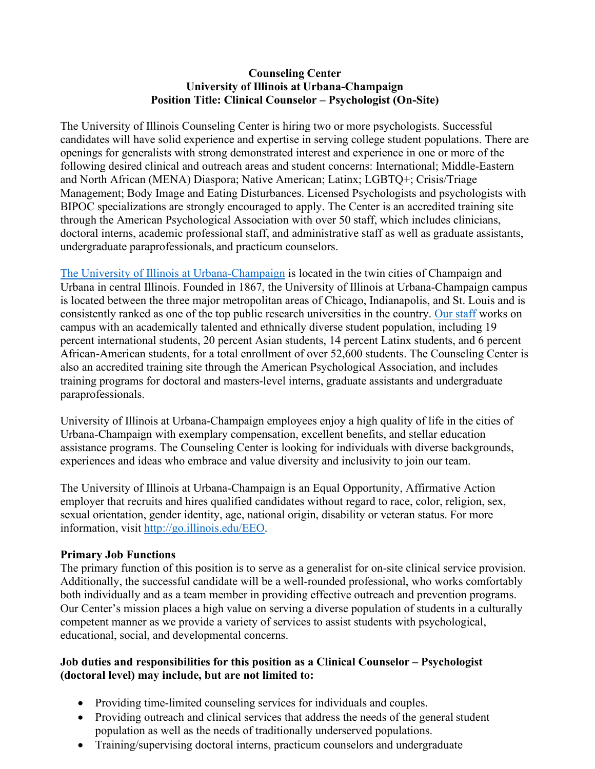#### **Counseling Center University of Illinois at Urbana-Champaign Position Title: Clinical Counselor – Psychologist (On-Site)**

The University of Illinois Counseling Center is hiring two or more psychologists. Successful candidates will have solid experience and expertise in serving college student populations. There are openings for generalists with strong demonstrated interest and experience in one or more of the following desired clinical and outreach areas and student concerns: International; Middle-Eastern and North African (MENA) Diaspora; Native American; Latinx; LGBTQ+; Crisis/Triage Management; Body Image and Eating Disturbances. Licensed Psychologists and psychologists with BIPOC specializations are strongly encouraged to apply. The Center is an accredited training site through the American Psychological Association with over 50 staff, which includes clinicians, doctoral interns, academic professional staff, and administrative staff as well as graduate assistants, undergraduate paraprofessionals, and practicum counselors.

[The University of Illinois at Urbana-Champaign](https://www.youtube.com/watch?v=jtdHuXcu3J0&t=316s) is located in the twin cities of Champaign and Urbana in central Illinois. Founded in 1867, the University of Illinois at Urbana-Champaign campus is located between the three major metropolitan areas of Chicago, Indianapolis, and St. Louis and is consistently ranked as one of the top public research universities in the country. [Our staff](https://counselingcenter.illinois.edu/about-us/our-staff) works on campus with an academically talented and ethnically diverse student population, including 19 percent international students, 20 percent Asian students, 14 percent Latinx students, and 6 percent African-American students, for a total enrollment of over 52,600 students. The Counseling Center is also an accredited training site through the American Psychological Association, and includes training programs for doctoral and masters-level interns, graduate assistants and undergraduate paraprofessionals.

University of Illinois at Urbana-Champaign employees enjoy a high quality of life in the cities of Urbana-Champaign with exemplary compensation, excellent benefits, and stellar education assistance programs. The Counseling Center is looking for individuals with diverse backgrounds, experiences and ideas who embrace and value diversity and inclusivity to join our team.

The University of Illinois at Urbana-Champaign is an Equal Opportunity, Affirmative Action employer that recruits and hires qualified candidates without regard to race, color, religion, sex, sexual orientation, gender identity, age, national origin, disability or veteran status. For more information, visit [http://go.illinois.edu/EEO.](http://go.illinois.edu/EEO)

### **Primary Job Functions**

The primary function of this position is to serve as a generalist for on-site clinical service provision. Additionally, the successful candidate will be a well-rounded professional, who works comfortably both individually and as a team member in providing effective outreach and prevention programs. Our Center's mission places a high value on serving a diverse population of students in a culturally competent manner as we provide a variety of services to assist students with psychological, educational, social, and developmental concerns.

### **Job duties and responsibilities for this position as a Clinical Counselor – Psychologist (doctoral level) may include, but are not limited to:**

- Providing time-limited counseling services for individuals and couples.
- Providing outreach and clinical services that address the needs of the general student population as well as the needs of traditionally underserved populations.
- Training/supervising doctoral interns, practicum counselors and undergraduate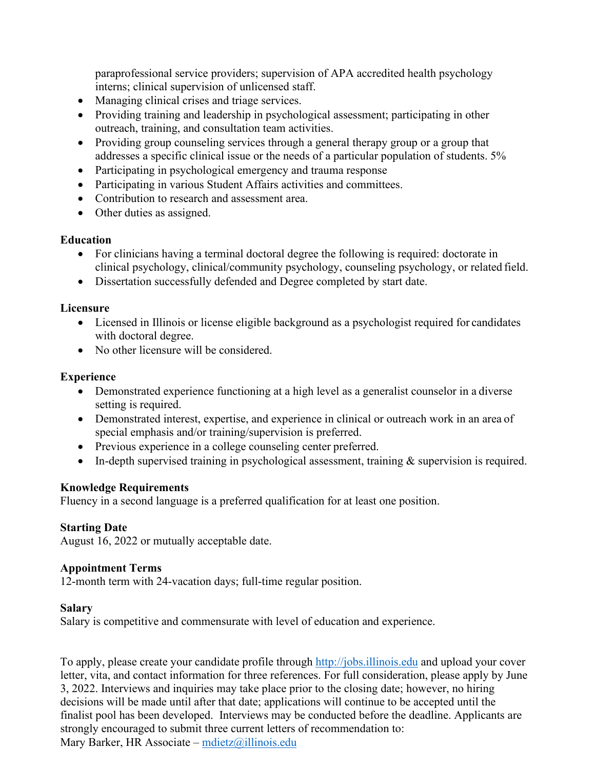paraprofessional service providers; supervision of APA accredited health psychology interns; clinical supervision of unlicensed staff.

- Managing clinical crises and triage services.
- Providing training and leadership in psychological assessment; participating in other outreach, training, and consultation team activities.
- Providing group counseling services through a general therapy group or a group that addresses a specific clinical issue or the needs of a particular population of students. 5%
- Participating in psychological emergency and trauma response
- Participating in various Student Affairs activities and committees.
- Contribution to research and assessment area.
- Other duties as assigned.

### **Education**

- For clinicians having a terminal doctoral degree the following is required: doctorate in clinical psychology, clinical/community psychology, counseling psychology, or related field.
- Dissertation successfully defended and Degree completed by start date.

### **Licensure**

- Licensed in Illinois or license eligible background as a psychologist required for candidates with doctoral degree.
- No other licensure will be considered.

## **Experience**

- Demonstrated experience functioning at a high level as a generalist counselor in a diverse setting is required.
- Demonstrated interest, expertise, and experience in clinical or outreach work in an area of special emphasis and/or training/supervision is preferred.
- Previous experience in a college counseling center preferred.
- In-depth supervised training in psychological assessment, training & supervision is required.

### **Knowledge Requirements**

Fluency in a second language is a preferred qualification for at least one position.

# **Starting Date**

August 16, 2022 or mutually acceptable date.

### **Appointment Terms**

12-month term with 24-vacation days; full-time regular position.

### **Salary**

Salary is competitive and commensurate with level of education and experience.

To apply, please create your candidate profile through [http://jobs.illinois.edu](http://jobs.illinois.edu/) and upload your cover letter, vita, and contact information for three references. For full consideration, please apply by June 3, 2022. Interviews and inquiries may take place prior to the closing date; however, no hiring decisions will be made until after that date; applications will continue to be accepted until the finalist pool has been developed. Interviews may be conducted before the deadline. Applicants are strongly encouraged to submit three current letters of recommendation to: Mary Barker, HR Associate – [mdietz@illinois.edu](mailto:mdietz@illinois.edu)